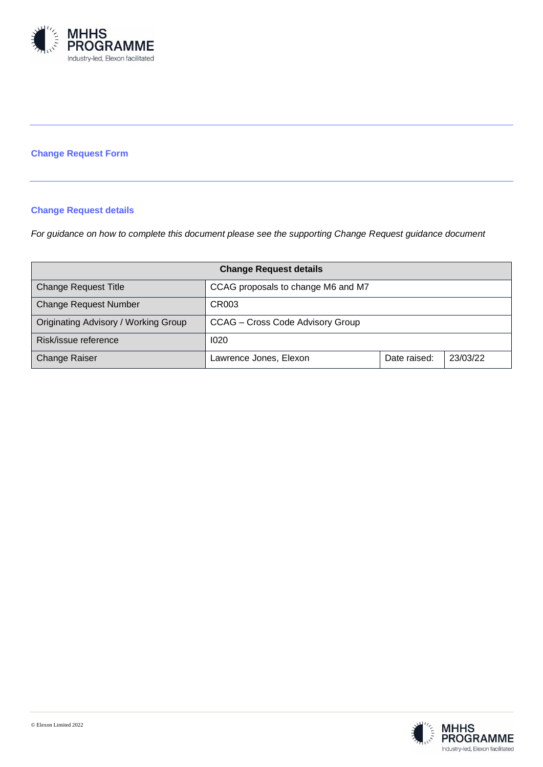

# **Change Request Form**

# **Change Request details**

*For guidance on how to complete this document please see the supporting Change Request guidance document*

| <b>Change Request details</b>        |                                    |              |          |  |
|--------------------------------------|------------------------------------|--------------|----------|--|
| <b>Change Request Title</b>          | CCAG proposals to change M6 and M7 |              |          |  |
| <b>Change Request Number</b>         | CR003                              |              |          |  |
| Originating Advisory / Working Group | CCAG - Cross Code Advisory Group   |              |          |  |
| Risk/issue reference                 | 1020                               |              |          |  |
| <b>Change Raiser</b>                 | Lawrence Jones, Elexon             | Date raised: | 23/03/22 |  |

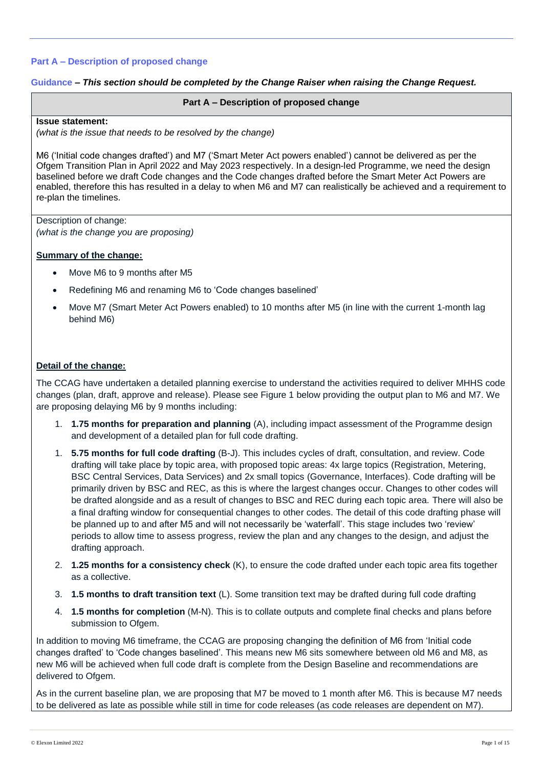## **Part A – Description of proposed change**

#### **Guidance** *– This section should be completed by the Change Raiser when raising the Change Request.*

#### **Part A – Description of proposed change**

#### **Issue statement:**

*(what is the issue that needs to be resolved by the change)*

M6 ('Initial code changes drafted') and M7 ('Smart Meter Act powers enabled') cannot be delivered as per the Ofgem Transition Plan in April 2022 and May 2023 respectively. In a design-led Programme, we need the design baselined before we draft Code changes and the Code changes drafted before the Smart Meter Act Powers are enabled, therefore this has resulted in a delay to when M6 and M7 can realistically be achieved and a requirement to re-plan the timelines.

Description of change: *(what is the change you are proposing)*

#### **Summary of the change:**

- Move M6 to 9 months after M5
- Redefining M6 and renaming M6 to 'Code changes baselined'
- Move M7 (Smart Meter Act Powers enabled) to 10 months after M5 (in line with the current 1-month lag behind M6)

#### **Detail of the change:**

The CCAG have undertaken a detailed planning exercise to understand the activities required to deliver MHHS code changes (plan, draft, approve and release). Please see Figure 1 below providing the output plan to M6 and M7. We are proposing delaying M6 by 9 months including:

- 1. **1.75 months for preparation and planning** (A), including impact assessment of the Programme design and development of a detailed plan for full code drafting.
- 1. **5.75 months for full code drafting** (B-J). This includes cycles of draft, consultation, and review. Code drafting will take place by topic area, with proposed topic areas: 4x large topics (Registration, Metering, BSC Central Services, Data Services) and 2x small topics (Governance, Interfaces). Code drafting will be primarily driven by BSC and REC, as this is where the largest changes occur. Changes to other codes will be drafted alongside and as a result of changes to BSC and REC during each topic area. There will also be a final drafting window for consequential changes to other codes. The detail of this code drafting phase will be planned up to and after M5 and will not necessarily be 'waterfall'. This stage includes two 'review' periods to allow time to assess progress, review the plan and any changes to the design, and adjust the drafting approach.
- 2. **1.25 months for a consistency check** (K), to ensure the code drafted under each topic area fits together as a collective.
- 3. **1.5 months to draft transition text** (L). Some transition text may be drafted during full code drafting
- 4. **1.5 months for completion** (M-N). This is to collate outputs and complete final checks and plans before submission to Ofgem.

In addition to moving M6 timeframe, the CCAG are proposing changing the definition of M6 from 'Initial code changes drafted' to 'Code changes baselined'. This means new M6 sits somewhere between old M6 and M8, as new M6 will be achieved when full code draft is complete from the Design Baseline and recommendations are delivered to Ofgem.

As in the current baseline plan, we are proposing that M7 be moved to 1 month after M6. This is because M7 needs to be delivered as late as possible while still in time for code releases (as code releases are dependent on M7).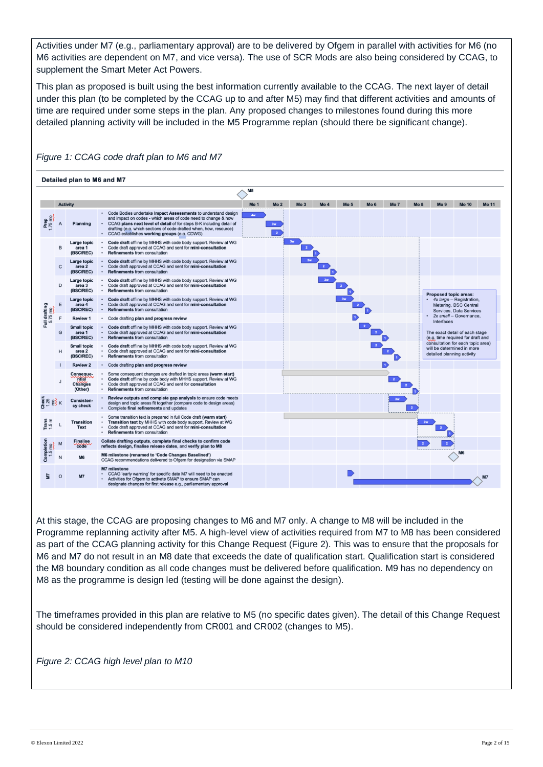Activities under M7 (e.g., parliamentary approval) are to be delivered by Ofgem in parallel with activities for M6 (no M6 activities are dependent on M7, and vice versa). The use of SCR Mods are also being considered by CCAG, to supplement the Smart Meter Act Powers.

This plan as proposed is built using the best information currently available to the CCAG. The next layer of detail under this plan (to be completed by the CCAG up to and after M5) may find that different activities and amounts of time are required under some steps in the plan. Any proposed changes to milestones found during this more detailed planning activity will be included in the M5 Programme replan (should there be significant change).



## *Figure 1: CCAG code draft plan to M6 and M7*

At this stage, the CCAG are proposing changes to M6 and M7 only. A change to M8 will be included in the Programme replanning activity after M5. A high-level view of activities required from M7 to M8 has been considered as part of the CCAG planning activity for this Change Request (Figure 2). This was to ensure that the proposals for M6 and M7 do not result in an M8 date that exceeds the date of qualification start. Qualification start is considered the M8 boundary condition as all code changes must be delivered before qualification. M9 has no dependency on M8 as the programme is design led (testing will be done against the design).

The timeframes provided in this plan are relative to M5 (no specific dates given). The detail of this Change Request should be considered independently from CR001 and CR002 (changes to M5).

*Figure 2: CCAG high level plan to M10*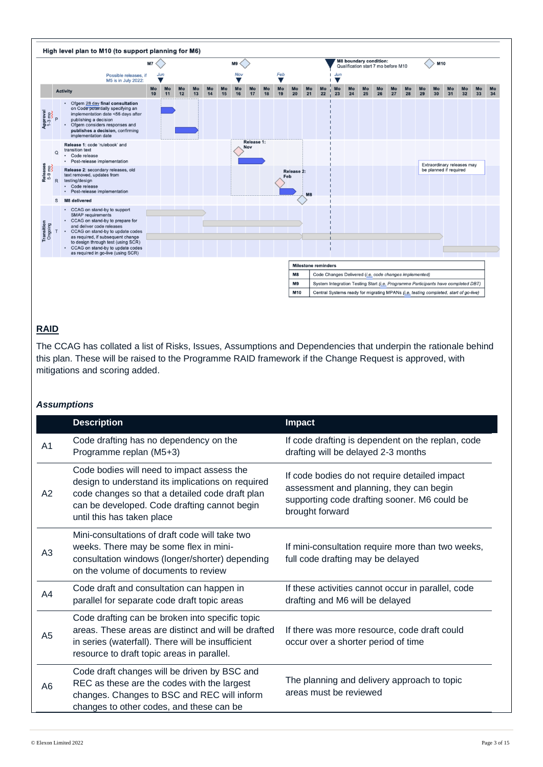

# **RAID**

The CCAG has collated a list of Risks, Issues, Assumptions and Dependencies that underpin the rationale behind this plan. These will be raised to the Programme RAID framework if the Change Request is approved, with mitigations and scoring added.

## *Assumptions*

|                | <b>Description</b>                                                                                                                                                                                                               | <b>Impact</b>                                                                                                                                               |
|----------------|----------------------------------------------------------------------------------------------------------------------------------------------------------------------------------------------------------------------------------|-------------------------------------------------------------------------------------------------------------------------------------------------------------|
| A <sub>1</sub> | Code drafting has no dependency on the<br>Programme replan (M5+3)                                                                                                                                                                | If code drafting is dependent on the replan, code<br>drafting will be delayed 2-3 months                                                                    |
| A2             | Code bodies will need to impact assess the<br>design to understand its implications on required<br>code changes so that a detailed code draft plan<br>can be developed. Code drafting cannot begin<br>until this has taken place | If code bodies do not require detailed impact<br>assessment and planning, they can begin<br>supporting code drafting sooner. M6 could be<br>brought forward |
| A <sub>3</sub> | Mini-consultations of draft code will take two<br>weeks. There may be some flex in mini-<br>consultation windows (longer/shorter) depending<br>on the volume of documents to review                                              | If mini-consultation require more than two weeks,<br>full code drafting may be delayed                                                                      |
| A4             | Code draft and consultation can happen in<br>parallel for separate code draft topic areas                                                                                                                                        | If these activities cannot occur in parallel, code<br>drafting and M6 will be delayed                                                                       |
| A <sub>5</sub> | Code drafting can be broken into specific topic<br>areas. These areas are distinct and will be drafted<br>in series (waterfall). There will be insufficient<br>resource to draft topic areas in parallel.                        | If there was more resource, code draft could<br>occur over a shorter period of time                                                                         |
| A <sub>6</sub> | Code draft changes will be driven by BSC and<br>REC as these are the codes with the largest<br>changes. Changes to BSC and REC will inform<br>changes to other codes, and these can be                                           | The planning and delivery approach to topic<br>areas must be reviewed                                                                                       |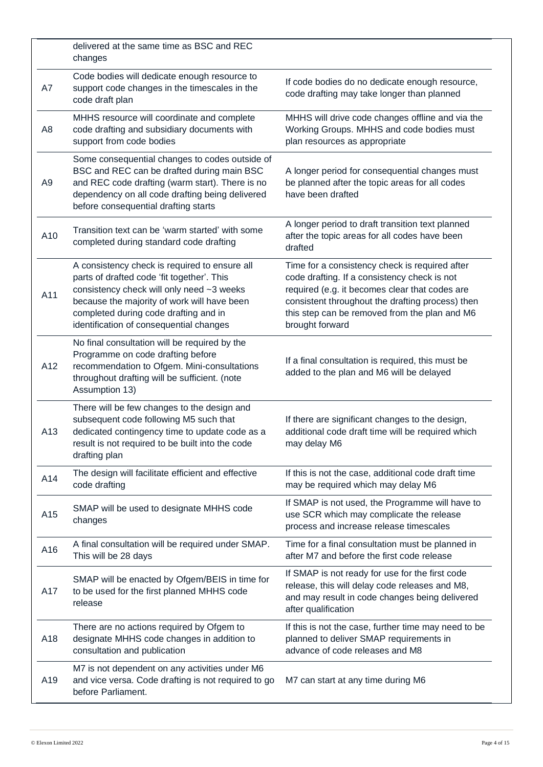|                | delivered at the same time as BSC and REC<br>changes                                                                                                                                                                                                                        |                                                                                                                                                                                                                                                                          |
|----------------|-----------------------------------------------------------------------------------------------------------------------------------------------------------------------------------------------------------------------------------------------------------------------------|--------------------------------------------------------------------------------------------------------------------------------------------------------------------------------------------------------------------------------------------------------------------------|
| A7             | Code bodies will dedicate enough resource to<br>support code changes in the timescales in the<br>code draft plan                                                                                                                                                            | If code bodies do no dedicate enough resource,<br>code drafting may take longer than planned                                                                                                                                                                             |
| A <sub>8</sub> | MHHS resource will coordinate and complete<br>code drafting and subsidiary documents with<br>support from code bodies                                                                                                                                                       | MHHS will drive code changes offline and via the<br>Working Groups. MHHS and code bodies must<br>plan resources as appropriate                                                                                                                                           |
| A <sub>9</sub> | Some consequential changes to codes outside of<br>BSC and REC can be drafted during main BSC<br>and REC code drafting (warm start). There is no<br>dependency on all code drafting being delivered<br>before consequential drafting starts                                  | A longer period for consequential changes must<br>be planned after the topic areas for all codes<br>have been drafted                                                                                                                                                    |
| A10            | Transition text can be 'warm started' with some<br>completed during standard code drafting                                                                                                                                                                                  | A longer period to draft transition text planned<br>after the topic areas for all codes have been<br>drafted                                                                                                                                                             |
| A11            | A consistency check is required to ensure all<br>parts of drafted code 'fit together'. This<br>consistency check will only need ~3 weeks<br>because the majority of work will have been<br>completed during code drafting and in<br>identification of consequential changes | Time for a consistency check is required after<br>code drafting. If a consistency check is not<br>required (e.g. it becomes clear that codes are<br>consistent throughout the drafting process) then<br>this step can be removed from the plan and M6<br>brought forward |
| A12            | No final consultation will be required by the<br>Programme on code drafting before<br>recommendation to Ofgem. Mini-consultations<br>throughout drafting will be sufficient. (note<br>Assumption 13)                                                                        | If a final consultation is required, this must be<br>added to the plan and M6 will be delayed                                                                                                                                                                            |
| A13            | There will be few changes to the design and<br>subsequent code following M5 such that<br>dedicated contingency time to update code as a<br>result is not required to be built into the code<br>drafting plan                                                                | If there are significant changes to the design,<br>additional code draft time will be required which<br>may delay M6                                                                                                                                                     |
| A14            | The design will facilitate efficient and effective<br>code drafting                                                                                                                                                                                                         | If this is not the case, additional code draft time<br>may be required which may delay M6                                                                                                                                                                                |
| A15            | SMAP will be used to designate MHHS code<br>changes                                                                                                                                                                                                                         | If SMAP is not used, the Programme will have to<br>use SCR which may complicate the release<br>process and increase release timescales                                                                                                                                   |
| A16            | A final consultation will be required under SMAP.<br>This will be 28 days                                                                                                                                                                                                   | Time for a final consultation must be planned in<br>after M7 and before the first code release                                                                                                                                                                           |
| A17            | SMAP will be enacted by Ofgem/BEIS in time for<br>to be used for the first planned MHHS code<br>release                                                                                                                                                                     | If SMAP is not ready for use for the first code<br>release, this will delay code releases and M8,<br>and may result in code changes being delivered<br>after qualification                                                                                               |
| A18            | There are no actions required by Ofgem to<br>designate MHHS code changes in addition to<br>consultation and publication                                                                                                                                                     | If this is not the case, further time may need to be<br>planned to deliver SMAP requirements in<br>advance of code releases and M8                                                                                                                                       |
| A19            | M7 is not dependent on any activities under M6<br>and vice versa. Code drafting is not required to go<br>before Parliament.                                                                                                                                                 | M7 can start at any time during M6                                                                                                                                                                                                                                       |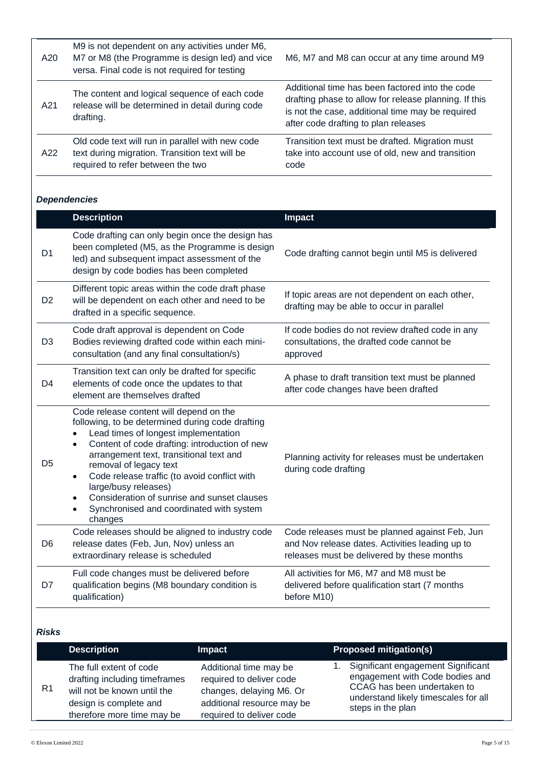| A20 | M9 is not dependent on any activities under M6,<br>M7 or M8 (the Programme is design led) and vice<br>versa. Final code is not required for testing | M6, M7 and M8 can occur at any time around M9                                                                                                                                                        |
|-----|-----------------------------------------------------------------------------------------------------------------------------------------------------|------------------------------------------------------------------------------------------------------------------------------------------------------------------------------------------------------|
| A21 | The content and logical sequence of each code<br>release will be determined in detail during code<br>drafting.                                      | Additional time has been factored into the code<br>drafting phase to allow for release planning. If this<br>is not the case, additional time may be required<br>after code drafting to plan releases |
| A22 | Old code text will run in parallel with new code<br>text during migration. Transition text will be<br>required to refer between the two             | Transition text must be drafted. Migration must<br>take into account use of old, new and transition<br>code                                                                                          |

## *Dependencies*

|                | <b>Description</b>                                                                                                                                                                                                                                                                                                                                                                                                                                                | <b>Impact</b>                                                                                                                                   |
|----------------|-------------------------------------------------------------------------------------------------------------------------------------------------------------------------------------------------------------------------------------------------------------------------------------------------------------------------------------------------------------------------------------------------------------------------------------------------------------------|-------------------------------------------------------------------------------------------------------------------------------------------------|
| D <sub>1</sub> | Code drafting can only begin once the design has<br>been completed (M5, as the Programme is design<br>led) and subsequent impact assessment of the<br>design by code bodies has been completed                                                                                                                                                                                                                                                                    | Code drafting cannot begin until M5 is delivered                                                                                                |
| D <sub>2</sub> | Different topic areas within the code draft phase<br>will be dependent on each other and need to be<br>drafted in a specific sequence.                                                                                                                                                                                                                                                                                                                            | If topic areas are not dependent on each other,<br>drafting may be able to occur in parallel                                                    |
| D <sub>3</sub> | Code draft approval is dependent on Code<br>Bodies reviewing drafted code within each mini-<br>consultation (and any final consultation/s)                                                                                                                                                                                                                                                                                                                        | If code bodies do not review drafted code in any<br>consultations, the drafted code cannot be<br>approved                                       |
| D <sub>4</sub> | Transition text can only be drafted for specific<br>elements of code once the updates to that<br>element are themselves drafted                                                                                                                                                                                                                                                                                                                                   | A phase to draft transition text must be planned<br>after code changes have been drafted                                                        |
| D <sub>5</sub> | Code release content will depend on the<br>following, to be determined during code drafting<br>Lead times of longest implementation<br>Content of code drafting: introduction of new<br>$\bullet$<br>arrangement text, transitional text and<br>removal of legacy text<br>Code release traffic (to avoid conflict with<br>$\bullet$<br>large/busy releases)<br>Consideration of sunrise and sunset clauses<br>Synchronised and coordinated with system<br>changes | Planning activity for releases must be undertaken<br>during code drafting                                                                       |
| D <sub>6</sub> | Code releases should be aligned to industry code<br>release dates (Feb, Jun, Nov) unless an<br>extraordinary release is scheduled                                                                                                                                                                                                                                                                                                                                 | Code releases must be planned against Feb, Jun<br>and Nov release dates. Activities leading up to<br>releases must be delivered by these months |
| D7             | Full code changes must be delivered before<br>qualification begins (M8 boundary condition is<br>qualification)                                                                                                                                                                                                                                                                                                                                                    | All activities for M6, M7 and M8 must be<br>delivered before qualification start (7 months<br>before M10)                                       |

*Risks*

|                | <b>Description</b>            | Impact                     | <b>Proposed mitigation(s)</b>        |
|----------------|-------------------------------|----------------------------|--------------------------------------|
| R <sub>1</sub> | The full extent of code       | Additional time may be     | Significant engagement Significant   |
|                | drafting including timeframes | required to deliver code   | engagement with Code bodies and      |
|                | will not be known until the   | changes, delaying M6. Or   | CCAG has been undertaken to          |
|                | design is complete and        | additional resource may be | understand likely timescales for all |
|                | therefore more time may be    | required to deliver code   | steps in the plan                    |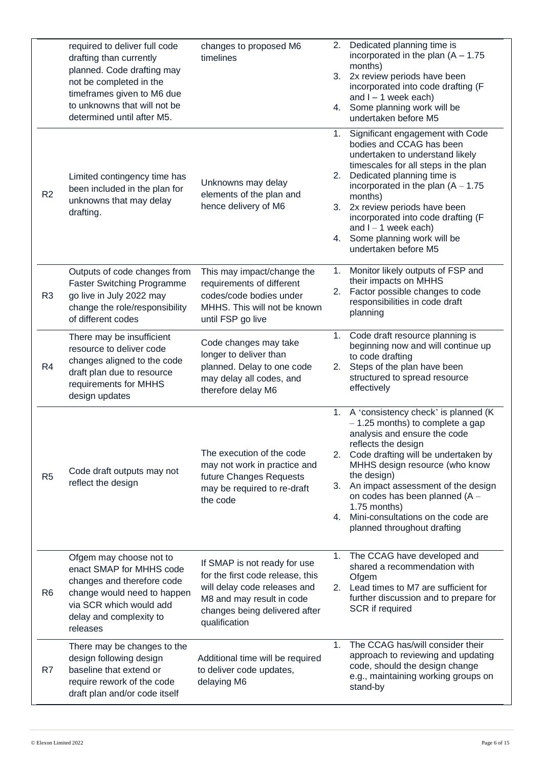|                | required to deliver full code<br>drafting than currently<br>planned. Code drafting may<br>not be completed in the<br>timeframes given to M6 due<br>to unknowns that will not be<br>determined until after M5. | changes to proposed M6<br>timelines                                                                                                                                             | 2.<br>3.<br>4.       | Dedicated planning time is<br>incorporated in the plan $(A - 1.75)$<br>months)<br>2x review periods have been<br>incorporated into code drafting (F<br>and $I - 1$ week each)<br>Some planning work will be<br>undertaken before M5                                                                                                                                                   |
|----------------|---------------------------------------------------------------------------------------------------------------------------------------------------------------------------------------------------------------|---------------------------------------------------------------------------------------------------------------------------------------------------------------------------------|----------------------|---------------------------------------------------------------------------------------------------------------------------------------------------------------------------------------------------------------------------------------------------------------------------------------------------------------------------------------------------------------------------------------|
| R2             | Limited contingency time has<br>been included in the plan for<br>unknowns that may delay<br>drafting.                                                                                                         | Unknowns may delay<br>elements of the plan and<br>hence delivery of M6                                                                                                          | 1.<br>2.<br>3.<br>4. | Significant engagement with Code<br>bodies and CCAG has been<br>undertaken to understand likely<br>timescales for all steps in the plan<br>Dedicated planning time is<br>incorporated in the plan $(A - 1.75)$<br>months)<br>2x review periods have been<br>incorporated into code drafting (F<br>and $I - 1$ week each)<br>Some planning work will be<br>undertaken before M5        |
| R <sub>3</sub> | Outputs of code changes from<br><b>Faster Switching Programme</b><br>go live in July 2022 may<br>change the role/responsibility<br>of different codes                                                         | This may impact/change the<br>requirements of different<br>codes/code bodies under<br>MHHS. This will not be known<br>until FSP go live                                         | 1.<br>2.             | Monitor likely outputs of FSP and<br>their impacts on MHHS<br>Factor possible changes to code<br>responsibilities in code draft<br>planning                                                                                                                                                                                                                                           |
| R <sub>4</sub> | There may be insufficient<br>resource to deliver code<br>changes aligned to the code<br>draft plan due to resource<br>requirements for MHHS<br>design updates                                                 | Code changes may take<br>longer to deliver than<br>planned. Delay to one code<br>may delay all codes, and<br>therefore delay M6                                                 | 1.<br>2.             | Code draft resource planning is<br>beginning now and will continue up<br>to code drafting<br>Steps of the plan have been<br>structured to spread resource<br>effectively                                                                                                                                                                                                              |
| R <sub>5</sub> | Code draft outputs may not<br>reflect the design                                                                                                                                                              | The execution of the code<br>may not work in practice and<br>future Changes Requests<br>may be required to re-draft<br>the code                                                 | 1.<br>2.<br>3.<br>4. | A 'consistency check' is planned (K)<br>$-1.25$ months) to complete a gap<br>analysis and ensure the code<br>reflects the design<br>Code drafting will be undertaken by<br>MHHS design resource (who know<br>the design)<br>An impact assessment of the design<br>on codes has been planned (A -<br>1.75 months)<br>Mini-consultations on the code are<br>planned throughout drafting |
| R <sub>6</sub> | Ofgem may choose not to<br>enact SMAP for MHHS code<br>changes and therefore code<br>change would need to happen<br>via SCR which would add<br>delay and complexity to<br>releases                            | If SMAP is not ready for use<br>for the first code release, this<br>will delay code releases and<br>M8 and may result in code<br>changes being delivered after<br>qualification | 1.<br>2.             | The CCAG have developed and<br>shared a recommendation with<br>Ofgem<br>Lead times to M7 are sufficient for<br>further discussion and to prepare for<br>SCR if required                                                                                                                                                                                                               |
| R7             | There may be changes to the<br>design following design<br>baseline that extend or<br>require rework of the code<br>draft plan and/or code itself                                                              | Additional time will be required<br>to deliver code updates,<br>delaying M6                                                                                                     | 1.                   | The CCAG has/will consider their<br>approach to reviewing and updating<br>code, should the design change<br>e.g., maintaining working groups on<br>stand-by                                                                                                                                                                                                                           |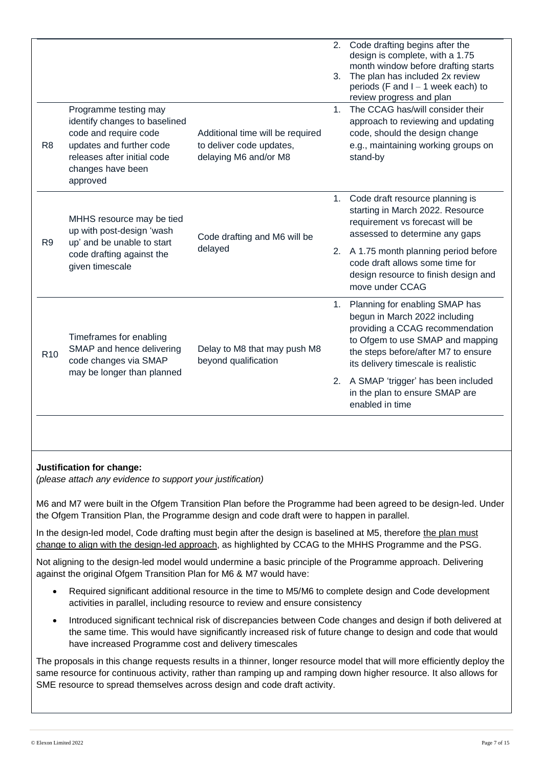|                                                                                                                                                                                                                           |                                                                                                                                                                                      |                                                                                       | 2.<br>3. | Code drafting begins after the<br>design is complete, with a 1.75<br>month window before drafting starts<br>The plan has included 2x review<br>periods (F and $I - 1$ week each) to<br>review progress and plan         |  |
|---------------------------------------------------------------------------------------------------------------------------------------------------------------------------------------------------------------------------|--------------------------------------------------------------------------------------------------------------------------------------------------------------------------------------|---------------------------------------------------------------------------------------|----------|-------------------------------------------------------------------------------------------------------------------------------------------------------------------------------------------------------------------------|--|
| R <sub>8</sub>                                                                                                                                                                                                            | Programme testing may<br>identify changes to baselined<br>code and require code<br>updates and further code<br>releases after initial code<br>changes have been<br>approved          | Additional time will be required<br>to deliver code updates,<br>delaying M6 and/or M8 | 1.       | The CCAG has/will consider their<br>approach to reviewing and updating<br>code, should the design change<br>e.g., maintaining working groups on<br>stand-by                                                             |  |
| MHHS resource may be tied<br>up with post-design 'wash                                                                                                                                                                    |                                                                                                                                                                                      | Code drafting and M6 will be                                                          |          | Code draft resource planning is<br>1.<br>starting in March 2022. Resource<br>requirement vs forecast will be<br>assessed to determine any gaps                                                                          |  |
| R <sub>9</sub>                                                                                                                                                                                                            | up' and be unable to start<br>code drafting against the<br>given timescale                                                                                                           | delayed                                                                               |          | 2. A 1.75 month planning period before<br>code draft allows some time for<br>design resource to finish design and<br>move under CCAG                                                                                    |  |
| R <sub>10</sub>                                                                                                                                                                                                           | Timeframes for enabling<br>SMAP and hence delivering<br>code changes via SMAP<br>may be longer than planned                                                                          | Delay to M8 that may push M8<br>beyond qualification                                  |          | 1. Planning for enabling SMAP has<br>begun in March 2022 including<br>providing a CCAG recommendation<br>to Ofgem to use SMAP and mapping<br>the steps before/after M7 to ensure<br>its delivery timescale is realistic |  |
|                                                                                                                                                                                                                           |                                                                                                                                                                                      |                                                                                       |          | 2. A SMAP 'trigger' has been included<br>in the plan to ensure SMAP are<br>enabled in time                                                                                                                              |  |
|                                                                                                                                                                                                                           |                                                                                                                                                                                      |                                                                                       |          |                                                                                                                                                                                                                         |  |
| Justification for change:<br>(please attach any evidence to support your justification)                                                                                                                                   |                                                                                                                                                                                      |                                                                                       |          |                                                                                                                                                                                                                         |  |
| M6 and M7 were built in the Ofgem Transition Plan before the Programme had been agreed to be design-led. Under<br>the Ofgem Transition Plan, the Programme design and code draft were to happen in parallel.              |                                                                                                                                                                                      |                                                                                       |          |                                                                                                                                                                                                                         |  |
| In the design-led model, Code drafting must begin after the design is baselined at M5, therefore the plan must<br>change to align with the design-led approach, as highlighted by CCAG to the MHHS Programme and the PSG. |                                                                                                                                                                                      |                                                                                       |          |                                                                                                                                                                                                                         |  |
|                                                                                                                                                                                                                           | against the original Ofgem Transition Plan for M6 & M7 would have:                                                                                                                   |                                                                                       |          | Not aligning to the design-led model would undermine a basic principle of the Programme approach. Delivering                                                                                                            |  |
|                                                                                                                                                                                                                           | Required significant additional resource in the time to M5/M6 to complete design and Code development<br>activities in parallel, including resource to review and ensure consistency |                                                                                       |          |                                                                                                                                                                                                                         |  |

• Introduced significant technical risk of discrepancies between Code changes and design if both delivered at the same time. This would have significantly increased risk of future change to design and code that would have increased Programme cost and delivery timescales

The proposals in this change requests results in a thinner, longer resource model that will more efficiently deploy the same resource for continuous activity, rather than ramping up and ramping down higher resource. It also allows for SME resource to spread themselves across design and code draft activity.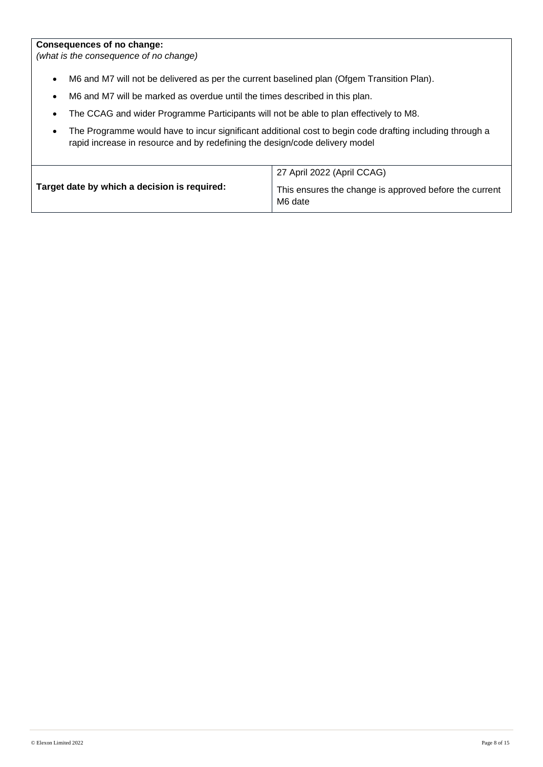## **Consequences of no change:**

*(what is the consequence of no change)*

- M6 and M7 will not be delivered as per the current baselined plan (Ofgem Transition Plan).
- M6 and M7 will be marked as overdue until the times described in this plan.
- The CCAG and wider Programme Participants will not be able to plan effectively to M8.
- The Programme would have to incur significant additional cost to begin code drafting including through a rapid increase in resource and by redefining the design/code delivery model

|                                              | 27 April 2022 (April CCAG)                                        |
|----------------------------------------------|-------------------------------------------------------------------|
| Target date by which a decision is required: | This ensures the change is approved before the current<br>M6 date |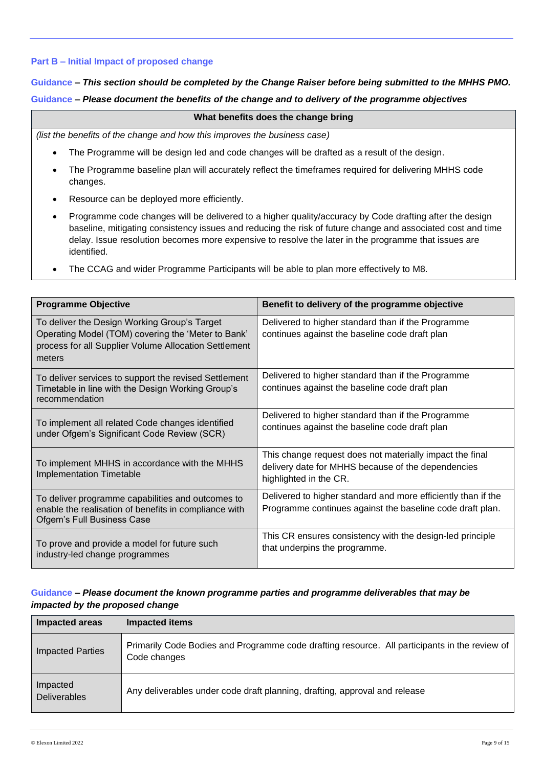## **Part B – Initial Impact of proposed change**

# **Guidance** *– This section should be completed by the Change Raiser before being submitted to the MHHS PMO.*  **Guidance** *– Please document the benefits of the change and to delivery of the programme objectives*

## **What benefits does the change bring**

*(list the benefits of the change and how this improves the business case)*

- The Programme will be design led and code changes will be drafted as a result of the design.
- The Programme baseline plan will accurately reflect the timeframes required for delivering MHHS code changes.
- Resource can be deployed more efficiently.
- Programme code changes will be delivered to a higher quality/accuracy by Code drafting after the design baseline, mitigating consistency issues and reducing the risk of future change and associated cost and time delay. Issue resolution becomes more expensive to resolve the later in the programme that issues are identified.
- The CCAG and wider Programme Participants will be able to plan more effectively to M8.

| <b>Programme Objective</b>                                                                                                                                            | Benefit to delivery of the programme objective                                                                                           |
|-----------------------------------------------------------------------------------------------------------------------------------------------------------------------|------------------------------------------------------------------------------------------------------------------------------------------|
| To deliver the Design Working Group's Target<br>Operating Model (TOM) covering the 'Meter to Bank'<br>process for all Supplier Volume Allocation Settlement<br>meters | Delivered to higher standard than if the Programme<br>continues against the baseline code draft plan                                     |
| To deliver services to support the revised Settlement<br>Timetable in line with the Design Working Group's<br>recommendation                                          | Delivered to higher standard than if the Programme<br>continues against the baseline code draft plan                                     |
| To implement all related Code changes identified<br>under Ofgem's Significant Code Review (SCR)                                                                       | Delivered to higher standard than if the Programme<br>continues against the baseline code draft plan                                     |
| To implement MHHS in accordance with the MHHS<br><b>Implementation Timetable</b>                                                                                      | This change request does not materially impact the final<br>delivery date for MHHS because of the dependencies<br>highlighted in the CR. |
| To deliver programme capabilities and outcomes to<br>enable the realisation of benefits in compliance with<br>Ofgem's Full Business Case                              | Delivered to higher standard and more efficiently than if the<br>Programme continues against the baseline code draft plan.               |
| To prove and provide a model for future such<br>industry-led change programmes                                                                                        | This CR ensures consistency with the design-led principle<br>that underpins the programme.                                               |

## **Guidance** *– Please document the known programme parties and programme deliverables that may be impacted by the proposed change*

| <b>Impacted areas</b>           | <b>Impacted items</b>                                                                                         |
|---------------------------------|---------------------------------------------------------------------------------------------------------------|
| <b>Impacted Parties</b>         | Primarily Code Bodies and Programme code drafting resource. All participants in the review of<br>Code changes |
| Impacted<br><b>Deliverables</b> | Any deliverables under code draft planning, drafting, approval and release                                    |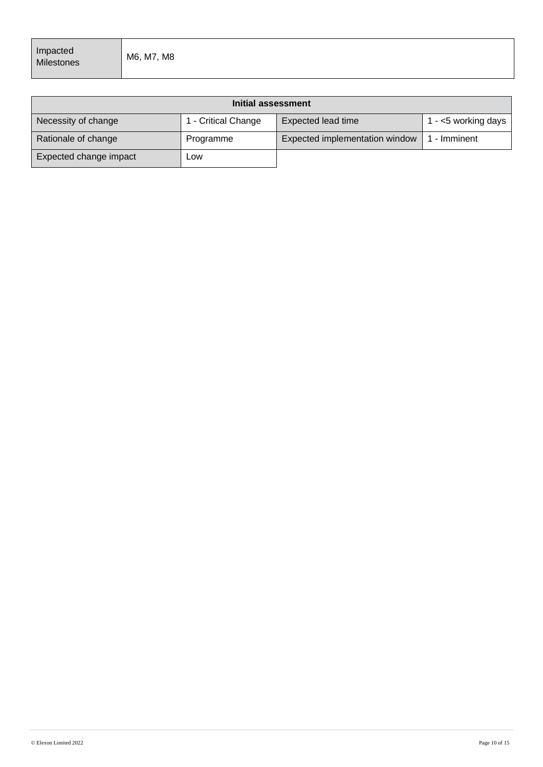| Initial assessment     |                     |                                |                        |  |  |
|------------------------|---------------------|--------------------------------|------------------------|--|--|
| Necessity of change    | 1 - Critical Change | Expected lead time             | 1 - $<$ 5 working days |  |  |
| Rationale of change    | Programme           | Expected implementation window | 1 - Imminent           |  |  |
| Expected change impact | Low                 |                                |                        |  |  |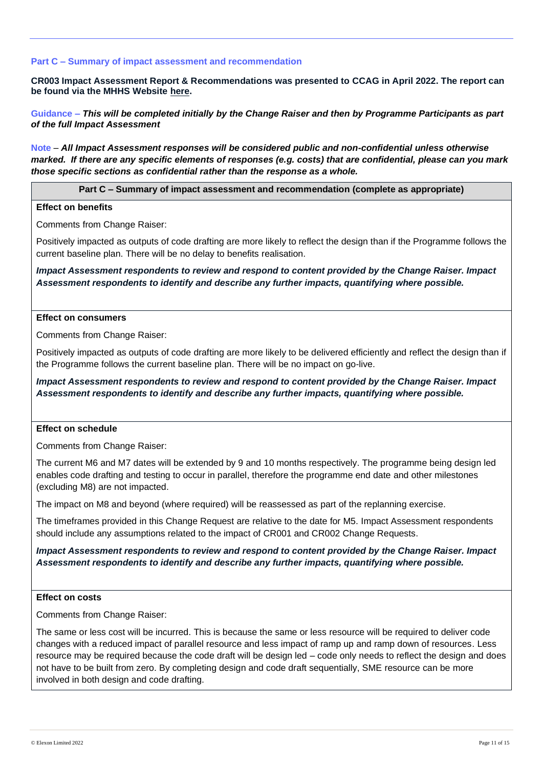#### **Part C – Summary of impact assessment and recommendation**

**CR003 Impact Assessment Report & Recommendations was presented to CCAG in April 2022. The report can be found via the MHHS Website [here.](https://mhhsprogramme-production-cdn.s3.eu-west-2.amazonaws.com/wp-content/uploads/2022/04/21092452/MHHS-DEL367-CCAG-27-April-2022-Attachment-2-CR003-Impact-Assessment-Responses-v1.0.pdf)** 

**Guidance –** *This will be completed initially by the Change Raiser and then by Programme Participants as part of the full Impact Assessment*

**Note** – *All Impact Assessment responses will be considered public and non-confidential unless otherwise marked. If there are any specific elements of responses (e.g. costs) that are confidential, please can you mark those specific sections as confidential rather than the response as a whole.*

**Part C – Summary of impact assessment and recommendation (complete as appropriate)**

#### **Effect on benefits**

Comments from Change Raiser:

Positively impacted as outputs of code drafting are more likely to reflect the design than if the Programme follows the current baseline plan. There will be no delay to benefits realisation.

*Impact Assessment respondents to review and respond to content provided by the Change Raiser. Impact Assessment respondents to identify and describe any further impacts, quantifying where possible.*

## **Effect on consumers**

Comments from Change Raiser:

Positively impacted as outputs of code drafting are more likely to be delivered efficiently and reflect the design than if the Programme follows the current baseline plan. There will be no impact on go-live.

*Impact Assessment respondents to review and respond to content provided by the Change Raiser. Impact Assessment respondents to identify and describe any further impacts, quantifying where possible.* 

#### **Effect on schedule**

Comments from Change Raiser:

The current M6 and M7 dates will be extended by 9 and 10 months respectively. The programme being design led enables code drafting and testing to occur in parallel, therefore the programme end date and other milestones (excluding M8) are not impacted.

The impact on M8 and beyond (where required) will be reassessed as part of the replanning exercise.

The timeframes provided in this Change Request are relative to the date for M5. Impact Assessment respondents should include any assumptions related to the impact of CR001 and CR002 Change Requests.

*Impact Assessment respondents to review and respond to content provided by the Change Raiser. Impact Assessment respondents to identify and describe any further impacts, quantifying where possible.*

## **Effect on costs**

Comments from Change Raiser:

The same or less cost will be incurred. This is because the same or less resource will be required to deliver code changes with a reduced impact of parallel resource and less impact of ramp up and ramp down of resources. Less resource may be required because the code draft will be design led – code only needs to reflect the design and does not have to be built from zero. By completing design and code draft sequentially, SME resource can be more involved in both design and code drafting.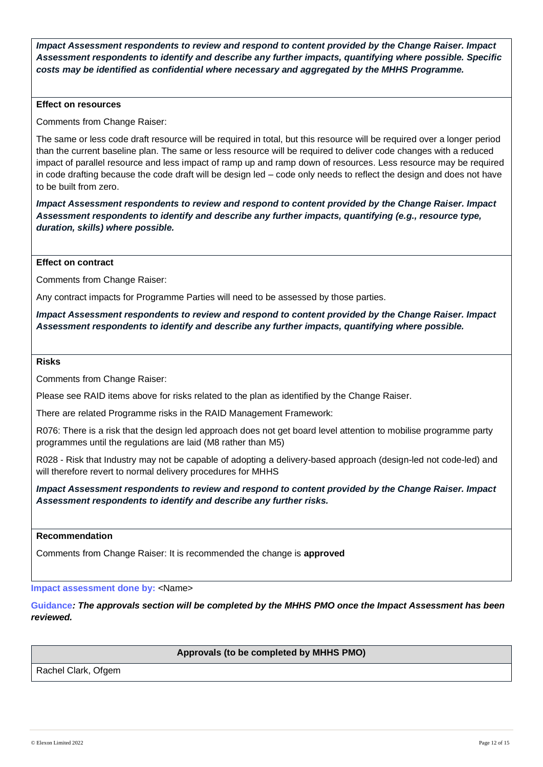*Impact Assessment respondents to review and respond to content provided by the Change Raiser. Impact Assessment respondents to identify and describe any further impacts, quantifying where possible. Specific costs may be identified as confidential where necessary and aggregated by the MHHS Programme.*

#### **Effect on resources**

Comments from Change Raiser:

The same or less code draft resource will be required in total, but this resource will be required over a longer period than the current baseline plan. The same or less resource will be required to deliver code changes with a reduced impact of parallel resource and less impact of ramp up and ramp down of resources. Less resource may be required in code drafting because the code draft will be design led – code only needs to reflect the design and does not have to be built from zero.

*Impact Assessment respondents to review and respond to content provided by the Change Raiser. Impact Assessment respondents to identify and describe any further impacts, quantifying (e.g., resource type, duration, skills) where possible.*

#### **Effect on contract**

Comments from Change Raiser:

Any contract impacts for Programme Parties will need to be assessed by those parties.

*Impact Assessment respondents to review and respond to content provided by the Change Raiser. Impact Assessment respondents to identify and describe any further impacts, quantifying where possible.*

#### **Risks**

Comments from Change Raiser:

Please see RAID items above for risks related to the plan as identified by the Change Raiser.

There are related Programme risks in the RAID Management Framework:

R076: There is a risk that the design led approach does not get board level attention to mobilise programme party programmes until the regulations are laid (M8 rather than M5)

R028 - Risk that Industry may not be capable of adopting a delivery-based approach (design-led not code-led) and will therefore revert to normal delivery procedures for MHHS

*Impact Assessment respondents to review and respond to content provided by the Change Raiser. Impact Assessment respondents to identify and describe any further risks.*

## **Recommendation**

Comments from Change Raiser: It is recommended the change is **approved**

#### **Impact assessment done by:** <Name>

**Guidance***: The approvals section will be completed by the MHHS PMO once the Impact Assessment has been reviewed.*

## **Approvals (to be completed by MHHS PMO)**

Rachel Clark, Ofgem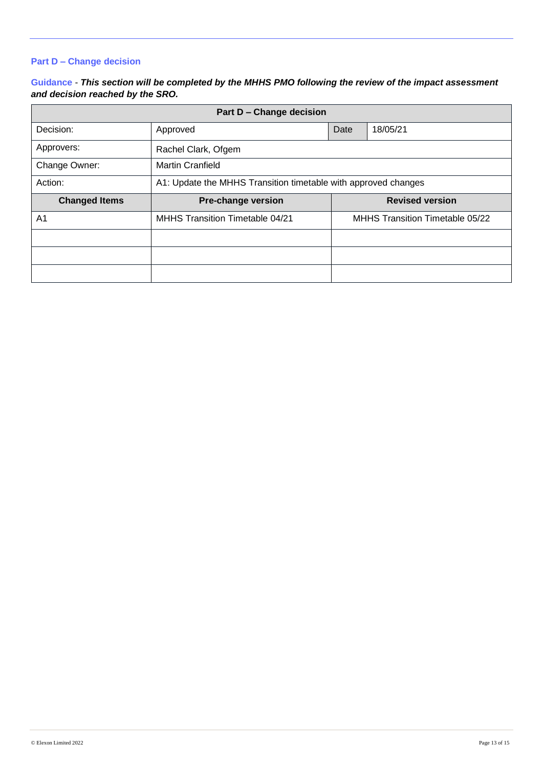# **Part D – Change decision**

## **Guidance** - *This section will be completed by the MHHS PMO following the review of the impact assessment and decision reached by the SRO.*

| Part D - Change decision |                                                                |      |                                 |  |  |
|--------------------------|----------------------------------------------------------------|------|---------------------------------|--|--|
| Decision:                | Approved                                                       | Date | 18/05/21                        |  |  |
| Approvers:               | Rachel Clark, Ofgem                                            |      |                                 |  |  |
| Change Owner:            | <b>Martin Cranfield</b>                                        |      |                                 |  |  |
| Action:                  | A1: Update the MHHS Transition timetable with approved changes |      |                                 |  |  |
|                          |                                                                |      |                                 |  |  |
| <b>Changed Items</b>     | <b>Pre-change version</b>                                      |      | <b>Revised version</b>          |  |  |
| A <sub>1</sub>           | MHHS Transition Timetable 04/21                                |      | MHHS Transition Timetable 05/22 |  |  |
|                          |                                                                |      |                                 |  |  |
|                          |                                                                |      |                                 |  |  |